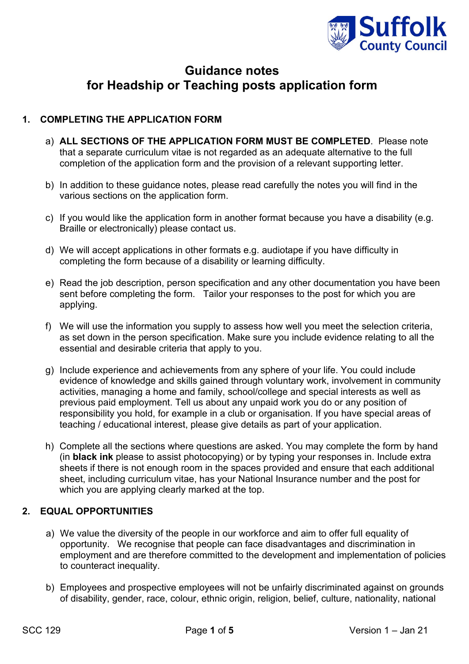

# **Guidance notes for Headship or Teaching posts application form**

# **1. COMPLETING THE APPLICATION FORM**

- a) **ALL SECTIONS OF THE APPLICATION FORM MUST BE COMPLETED**. Please note that a separate curriculum vitae is not regarded as an adequate alternative to the full completion of the application form and the provision of a relevant supporting letter.
- b) In addition to these guidance notes, please read carefully the notes you will find in the various sections on the application form.
- c) If you would like the application form in another format because you have a disability (e.g. Braille or electronically) please contact us.
- d) We will accept applications in other formats e.g. audiotape if you have difficulty in completing the form because of a disability or learning difficulty.
- e) Read the job description, person specification and any other documentation you have been sent before completing the form. Tailor your responses to the post for which you are applying.
- f) We will use the information you supply to assess how well you meet the selection criteria, as set down in the person specification. Make sure you include evidence relating to all the essential and desirable criteria that apply to you.
- g) Include experience and achievements from any sphere of your life. You could include evidence of knowledge and skills gained through voluntary work, involvement in community activities, managing a home and family, school/college and special interests as well as previous paid employment. Tell us about any unpaid work you do or any position of responsibility you hold, for example in a club or organisation. If you have special areas of teaching / educational interest, please give details as part of your application.
- h) Complete all the sections where questions are asked. You may complete the form by hand (in **black ink** please to assist photocopying) or by typing your responses in. Include extra sheets if there is not enough room in the spaces provided and ensure that each additional sheet, including curriculum vitae, has your National Insurance number and the post for which you are applying clearly marked at the top.

# **2. EQUAL OPPORTUNITIES**

- a) We value the diversity of the people in our workforce and aim to offer full equality of opportunity. We recognise that people can face disadvantages and discrimination in employment and are therefore committed to the development and implementation of policies to counteract inequality.
- b) Employees and prospective employees will not be unfairly discriminated against on grounds of disability, gender, race, colour, ethnic origin, religion, belief, culture, nationality, national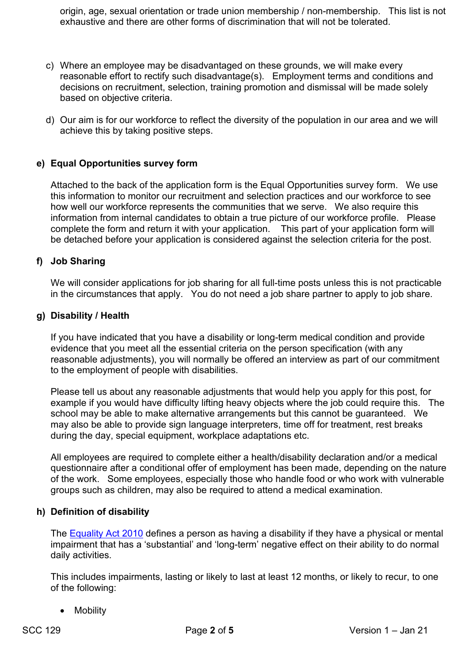origin, age, sexual orientation or trade union membership / non-membership. This list is not exhaustive and there are other forms of discrimination that will not be tolerated.

- c) Where an employee may be disadvantaged on these grounds, we will make every reasonable effort to rectify such disadvantage(s). Employment terms and conditions and decisions on recruitment, selection, training promotion and dismissal will be made solely based on objective criteria.
- d) Our aim is for our workforce to reflect the diversity of the population in our area and we will achieve this by taking positive steps.

# **e) Equal Opportunities survey form**

Attached to the back of the application form is the Equal Opportunities survey form. We use this information to monitor our recruitment and selection practices and our workforce to see how well our workforce represents the communities that we serve. We also require this information from internal candidates to obtain a true picture of our workforce profile. Please complete the form and return it with your application. This part of your application form will be detached before your application is considered against the selection criteria for the post.

### **f) Job Sharing**

We will consider applications for job sharing for all full-time posts unless this is not practicable in the circumstances that apply. You do not need a job share partner to apply to job share.

#### **g) Disability / Health**

If you have indicated that you have a disability or long-term medical condition and provide evidence that you meet all the essential criteria on the person specification (with any reasonable adjustments), you will normally be offered an interview as part of our commitment to the employment of people with disabilities.

Please tell us about any reasonable adjustments that would help you apply for this post, for example if you would have difficulty lifting heavy objects where the job could require this. The school may be able to make alternative arrangements but this cannot be guaranteed. We may also be able to provide sign language interpreters, time off for treatment, rest breaks during the day, special equipment, workplace adaptations etc.

All employees are required to complete either a health/disability declaration and/or a medical questionnaire after a conditional offer of employment has been made, depending on the nature of the work. Some employees, especially those who handle food or who work with vulnerable groups such as children, may also be required to attend a medical examination.

#### **h) Definition of disability**

The [Equality Act 2010](http://www.legislation.gov.uk/ukpga/2010/15/section/6) defines a person as having a disability if they have a physical or mental impairment that has a 'substantial' and 'long-term' negative effect on their ability to do normal daily activities.

This includes impairments, lasting or likely to last at least 12 months, or likely to recur, to one of the following:

• Mobility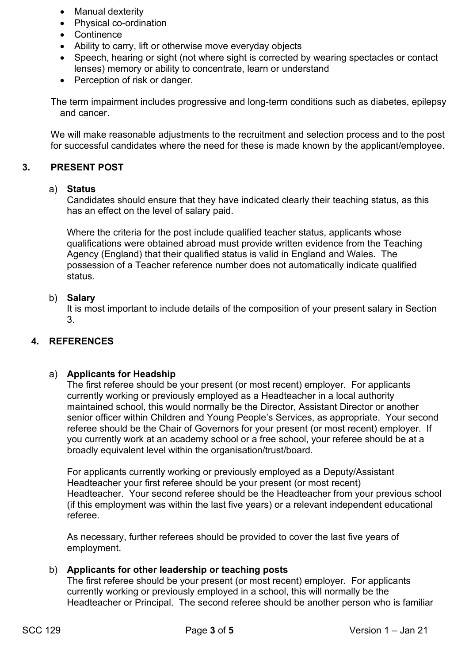- Manual dexterity
- Physical co-ordination
- Continence
- Ability to carry, lift or otherwise move everyday objects
- Speech, hearing or sight (not where sight is corrected by wearing spectacles or contact lenses) memory or ability to concentrate, learn or understand
- Perception of risk or danger.

The term impairment includes progressive and long-term conditions such as diabetes, epilepsy and cancer.

We will make reasonable adjustments to the recruitment and selection process and to the post for successful candidates where the need for these is made known by the applicant/employee.

# **3. PRESENT POST**

# a) **Status**

Candidates should ensure that they have indicated clearly their teaching status, as this has an effect on the level of salary paid.

Where the criteria for the post include qualified teacher status, applicants whose qualifications were obtained abroad must provide written evidence from the Teaching Agency (England) that their qualified status is valid in England and Wales. The possession of a Teacher reference number does not automatically indicate qualified status.

# b) **Salary**

It is most important to include details of the composition of your present salary in Section 3.

# **4. REFERENCES**

# a) **Applicants for Headship**

The first referee should be your present (or most recent) employer. For applicants currently working or previously employed as a Headteacher in a local authority maintained school, this would normally be the Director, Assistant Director or another senior officer within Children and Young People's Services, as appropriate. Your second referee should be the Chair of Governors for your present (or most recent) employer. If you currently work at an academy school or a free school, your referee should be at a broadly equivalent level within the organisation/trust/board.

For applicants currently working or previously employed as a Deputy/Assistant Headteacher your first referee should be your present (or most recent) Headteacher. Your second referee should be the Headteacher from your previous school (if this employment was within the last five years) or a relevant independent educational referee.

As necessary, further referees should be provided to cover the last five years of employment.

# b) **Applicants for other leadership or teaching posts**

The first referee should be your present (or most recent) employer. For applicants currently working or previously employed in a school, this will normally be the Headteacher or Principal. The second referee should be another person who is familiar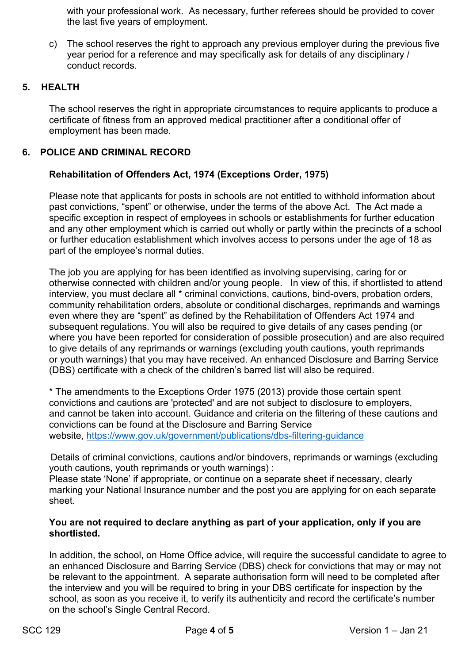with your professional work. As necessary, further referees should be provided to cover the last five years of employment.

c) The school reserves the right to approach any previous employer during the previous five year period for a reference and may specifically ask for details of any disciplinary / conduct records.

# **5. HEALTH**

The school reserves the right in appropriate circumstances to require applicants to produce a certificate of fitness from an approved medical practitioner after a conditional offer of employment has been made.

# **6. POLICE AND CRIMINAL RECORD**

# **Rehabilitation of Offenders Act, 1974 (Exceptions Order, 1975)**

Please note that applicants for posts in schools are not entitled to withhold information about past convictions, "spent" or otherwise, under the terms of the above Act. The Act made a specific exception in respect of employees in schools or establishments for further education and any other employment which is carried out wholly or partly within the precincts of a school or further education establishment which involves access to persons under the age of 18 as part of the employee's normal duties.

The job you are applying for has been identified as involving supervising, caring for or otherwise connected with children and/or young people. In view of this, if shortlisted to attend interview, you must declare all \* criminal convictions, cautions, bind-overs, probation orders, community rehabilitation orders, absolute or conditional discharges, reprimands and warnings even where they are "spent" as defined by the Rehabilitation of Offenders Act 1974 and subsequent regulations. You will also be required to give details of any cases pending (or where you have been reported for consideration of possible prosecution) and are also required to give details of any reprimands or warnings (excluding youth cautions, youth reprimands or youth warnings) that you may have received. An enhanced Disclosure and Barring Service (DBS) certificate with a check of the children's barred list will also be required.

\* The amendments to the Exceptions Order 1975 (2013) provide those certain spent convictions and cautions are 'protected' and are not subject to disclosure to employers, and cannot be taken into account. Guidance and criteria on the filtering of these cautions and convictions can be found at the Disclosure and Barring Service website, <https://www.gov.uk/government/publications/dbs-filtering-guidance>

Details of criminal convictions, cautions and/or bindovers, reprimands or warnings (excluding youth cautions, youth reprimands or youth warnings) :

Please state 'None' if appropriate, or continue on a separate sheet if necessary, clearly marking your National Insurance number and the post you are applying for on each separate sheet.

### **You are not required to declare anything as part of your application, only if you are shortlisted.**

In addition, the school, on Home Office advice, will require the successful candidate to agree to an enhanced Disclosure and Barring Service (DBS) check for convictions that may or may not be relevant to the appointment. A separate authorisation form will need to be completed after the interview and you will be required to bring in your DBS certificate for inspection by the school, as soon as you receive it, to verify its authenticity and record the certificate's number on the school's Single Central Record.